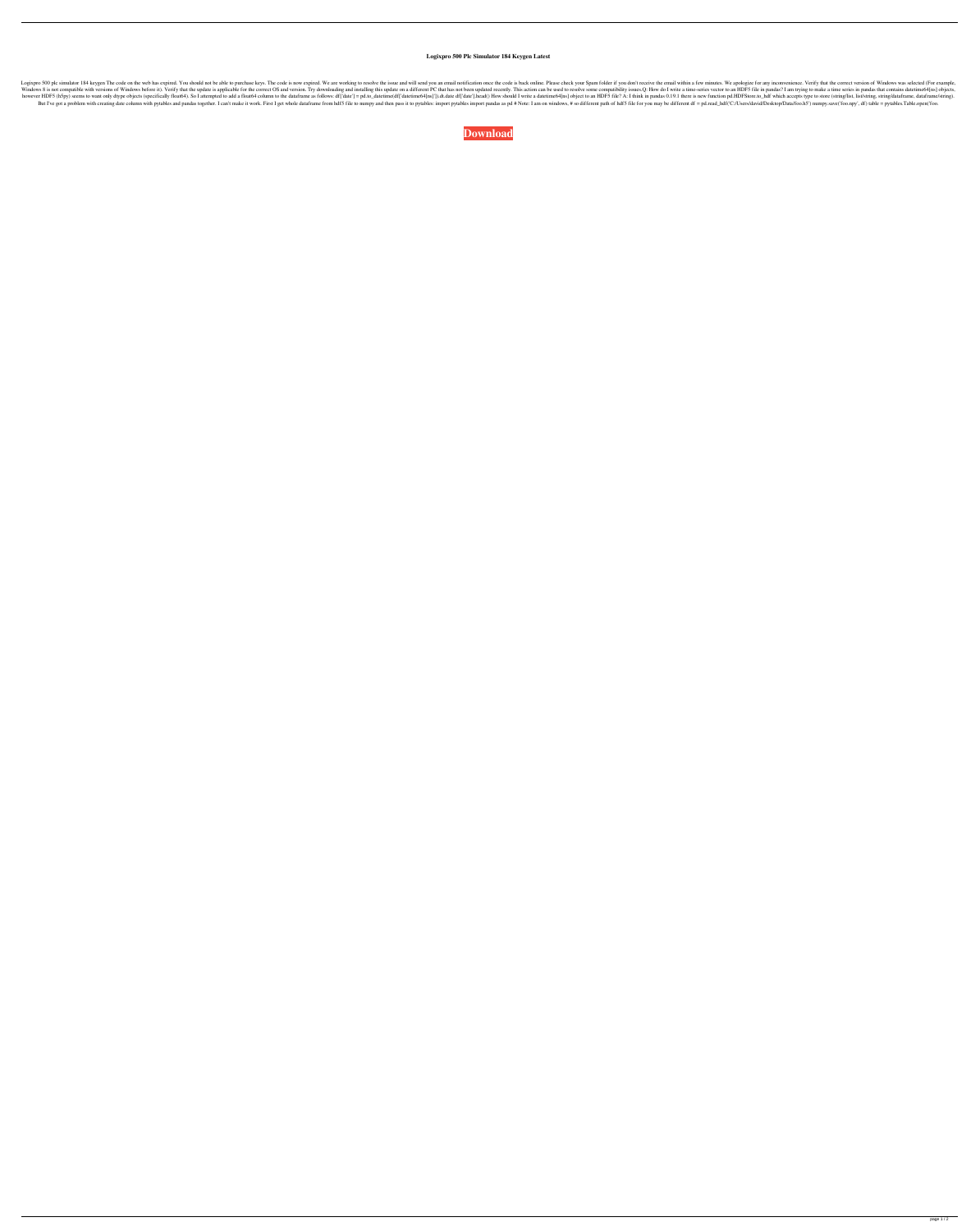## **Logixpro 500 Plc Simulator 184 Keygen Latest**

Dogixpro 500 plc simulator 184 keygen The code on the web has expired. You should not be able to purchase keys. The code is now expired. We are working to resolve the issue and will send you an email within a few minutes. The section section and installing this update on a different PC that has not been update on a different PC that has not been updated recently. This action can be used to resolve some compatibility issues.Q: How do I write however HDF5 (h5py) seems to want only dtype objects (specifically float64). So I attempted to add a float64 column to the dataframe as follows: df['date'] = pd.to\_datetime(df['datetime64[ns]]).dt.date df['date'].head() Ho But I've got a problem with creating date column with pytables and pandas together. I can't make it work. First I get whole dataframe from hdf5 file to numpy and then pass it to pytables import pandas as pd # Note: I am on